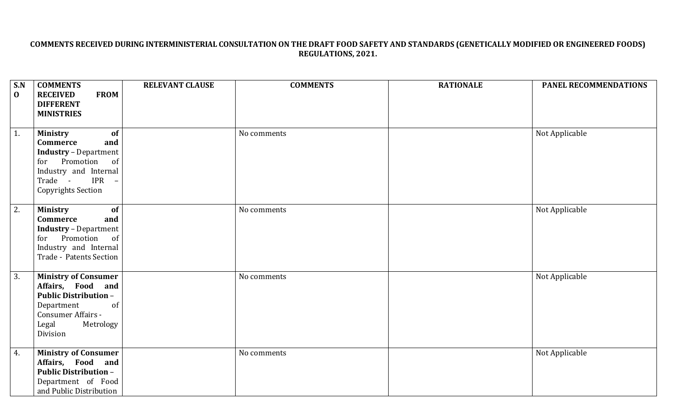## COMMENTS RECEIVED DURING INTERMINISTERIAL CONSULTATION ON THE DRAFT FOOD SAFETY AND STANDARDS (GENETICALLY MODIFIED OR ENGINEERED FOODS) **REGULATIONS, 2021.**

| S.N<br>$\mathbf{0}$ | <b>COMMENTS</b><br><b>RECEIVED</b><br><b>FROM</b><br><b>DIFFERENT</b>                                                                                                                             | <b>RELEVANT CLAUSE</b> | <b>COMMENTS</b> | <b>RATIONALE</b> | PANEL RECOMMENDATIONS |
|---------------------|---------------------------------------------------------------------------------------------------------------------------------------------------------------------------------------------------|------------------------|-----------------|------------------|-----------------------|
|                     | <b>MINISTRIES</b>                                                                                                                                                                                 |                        |                 |                  |                       |
| 1.                  | <b>Ministry</b><br>of<br><b>Commerce</b><br>and<br><b>Industry</b> - Department<br>for Promotion<br>of<br>Industry and Internal<br><b>IPR</b><br>Trade -<br>$\equiv$<br><b>Copyrights Section</b> |                        | No comments     |                  | Not Applicable        |
| 2.                  | <b>Ministry</b><br>of<br>and<br>Commerce<br><b>Industry</b> - Department<br>for Promotion<br>of<br>Industry and Internal<br>Trade - Patents Section                                               |                        | No comments     |                  | Not Applicable        |
| 3.                  | <b>Ministry of Consumer</b><br>Affairs, Food and<br><b>Public Distribution -</b><br>Department<br>of<br>Consumer Affairs -<br>Legal<br>Metrology<br>Division                                      |                        | No comments     |                  | Not Applicable        |
| 4.                  | <b>Ministry of Consumer</b><br>Affairs, Food and<br><b>Public Distribution -</b><br>Department of Food<br>and Public Distribution                                                                 |                        | No comments     |                  | Not Applicable        |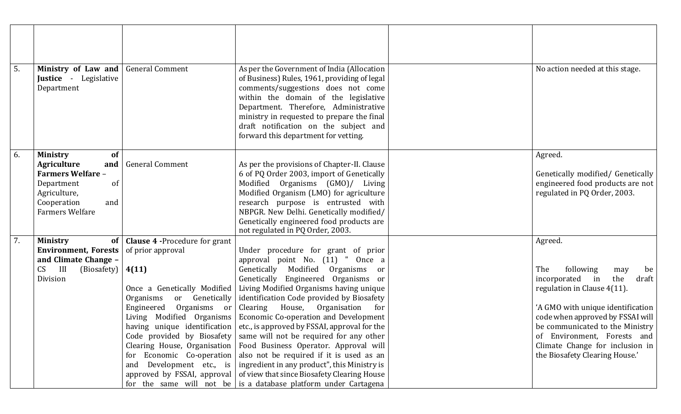| 5. | Ministry of Law and<br>Justice - Legislative<br>Department                                                                                                                    | <b>General Comment</b>                                                                                                                                                                                                 | As per the Government of India (Allocation<br>of Business) Rules, 1961, providing of legal<br>comments/suggestions does not come<br>within the domain of the legislative<br>Department. Therefore, Administrative<br>ministry in requested to prepare the final<br>draft notification on the subject and<br>forward this department for vetting.                                                                                                                                                                                                                                                                                                                                                                                                                                                                                                    | No action needed at this stage.                                                                                                                                                                                                                                                                                               |
|----|-------------------------------------------------------------------------------------------------------------------------------------------------------------------------------|------------------------------------------------------------------------------------------------------------------------------------------------------------------------------------------------------------------------|-----------------------------------------------------------------------------------------------------------------------------------------------------------------------------------------------------------------------------------------------------------------------------------------------------------------------------------------------------------------------------------------------------------------------------------------------------------------------------------------------------------------------------------------------------------------------------------------------------------------------------------------------------------------------------------------------------------------------------------------------------------------------------------------------------------------------------------------------------|-------------------------------------------------------------------------------------------------------------------------------------------------------------------------------------------------------------------------------------------------------------------------------------------------------------------------------|
| 6. | <b>Ministry</b><br>of<br><b>Agriculture</b><br>and<br><b>Farmers Welfare -</b><br><sub>of</sub><br>Department<br>Agriculture,<br>Cooperation<br>and<br><b>Farmers Welfare</b> | <b>General Comment</b>                                                                                                                                                                                                 | As per the provisions of Chapter-II. Clause<br>6 of PQ Order 2003, import of Genetically<br>Modified Organisms (GMO)/ Living<br>Modified Organism (LMO) for agriculture<br>research purpose is entrusted with<br>NBPGR. New Delhi. Genetically modified/<br>Genetically engineered food products are<br>not regulated in PQ Order, 2003.                                                                                                                                                                                                                                                                                                                                                                                                                                                                                                            | Agreed.<br>Genetically modified/ Genetically<br>engineered food products are not<br>regulated in PQ Order, 2003.                                                                                                                                                                                                              |
| 7. | <b>Ministry</b><br><b>of</b><br><b>Environment, Forests</b><br>and Climate Change -<br>III<br>CS<br>(Biosafety)<br>Division                                                   | <b>Clause 4 - Procedure for grant</b><br>of prior approval<br>4(11)<br>Once a Genetically Modified<br>or Genetically<br>Organisms<br>Engineered Organisms or<br>Living Modified Organisms<br>for Economic Co-operation | Under procedure for grant of prior<br>approval point No. (11) "<br>Once a<br>Genetically Modified Organisms<br>or<br>Genetically Engineered Organisms or<br>Living Modified Organisms having unique<br>identification Code provided by Biosafety<br>Clearing House, Organisation<br>for<br><b>Economic Co-operation and Development</b><br>having unique identification $ $ etc., is approved by FSSAI, approval for the<br>Code provided by Biosafety $\vert$ same will not be required for any other<br>Clearing House, Organisation   Food Business Operator. Approval will<br>also not be required if it is used as an<br>and Development etc., is   ingredient in any product", this Ministry is<br>approved by FSSAI, approval of view that since Biosafety Clearing House<br>for the same will not be is a database platform under Cartagena | Agreed.<br>The<br>following<br>may<br>be<br>incorporated<br>the<br>in<br>draft<br>regulation in Clause 4(11).<br>'A GMO with unique identification<br>code when approved by FSSAI will<br>be communicated to the Ministry<br>of Environment, Forests and<br>Climate Change for inclusion in<br>the Biosafety Clearing House.' |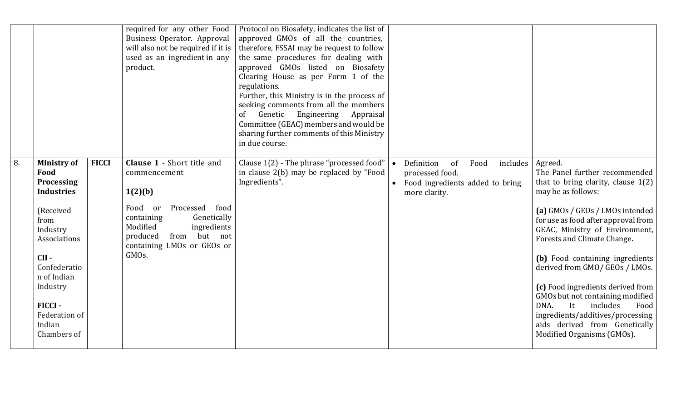|    |                                                                                                                                                                                                                              |              | required for any other Food<br>Business Operator. Approval<br>will also not be required if it is<br>used as an ingredient in any<br>product.                                                                                                       | Protocol on Biosafety, indicates the list of<br>approved GMOs of all the countries,<br>therefore, FSSAI may be request to follow<br>the same procedures for dealing with<br>approved GMOs listed on Biosafety<br>Clearing House as per Form 1 of the<br>regulations.<br>Further, this Ministry is in the process of<br>seeking comments from all the members<br>Genetic Engineering<br>Appraisal<br><sub>of</sub><br>Committee (GEAC) members and would be<br>sharing further comments of this Ministry<br>in due course. |                                                                                                             |                                                                                                                                                                                                                                                                                                                                                                                                                                                                                                                                      |
|----|------------------------------------------------------------------------------------------------------------------------------------------------------------------------------------------------------------------------------|--------------|----------------------------------------------------------------------------------------------------------------------------------------------------------------------------------------------------------------------------------------------------|---------------------------------------------------------------------------------------------------------------------------------------------------------------------------------------------------------------------------------------------------------------------------------------------------------------------------------------------------------------------------------------------------------------------------------------------------------------------------------------------------------------------------|-------------------------------------------------------------------------------------------------------------|--------------------------------------------------------------------------------------------------------------------------------------------------------------------------------------------------------------------------------------------------------------------------------------------------------------------------------------------------------------------------------------------------------------------------------------------------------------------------------------------------------------------------------------|
| 8. | <b>Ministry of</b><br>Food<br><b>Processing</b><br><b>Industries</b><br>(Received<br>from<br>Industry<br>Associations<br>CII-<br>Confederatio<br>n of Indian<br>Industry<br>FICCI-<br>Federation of<br>Indian<br>Chambers of | <b>FICCI</b> | <b>Clause 1 - Short title and</b><br>commencement<br>1(2)(b)<br>Processed<br>Food<br>food<br><sub>or</sub><br>Genetically<br>containing<br>Modified<br>ingredients<br>from but not<br>produced<br>containing LMOs or GEOs or<br>GMO <sub>s</sub> . | Clause 1(2) - The phrase "processed food"<br>in clause 2(b) may be replaced by "Food<br>Ingredients".                                                                                                                                                                                                                                                                                                                                                                                                                     | Definition<br>includes<br>Food<br>of<br>processed food.<br>Food ingredients added to bring<br>more clarity. | Agreed.<br>The Panel further recommended<br>that to bring clarity, clause $1(2)$<br>may be as follows:<br>(a) GMOs / GEOs / LMOs intended<br>for use as food after approval from<br>GEAC, Ministry of Environment,<br>Forests and Climate Change.<br>(b) Food containing ingredients<br>derived from GMO/ GEOs / LMOs.<br>(c) Food ingredients derived from<br>GMOs but not containing modified<br>DNA.<br>It<br>includes<br>Food<br>ingredients/additives/processing<br>aids derived from Genetically<br>Modified Organisms (GMOs). |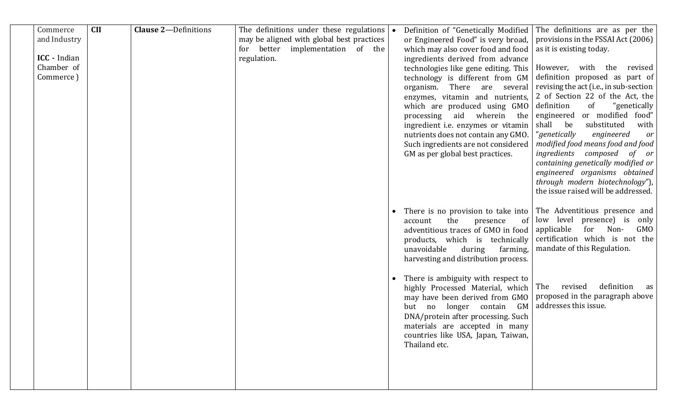| Commerce<br>and Industry<br><b>ICC</b> - Indian<br>Chamber of<br>Commerce) | <b>CII</b> | <b>Clause 2-Definitions</b> | The definitions under these regulations $\bullet$<br>may be aligned with global best practices<br>better<br>implementation of the<br>for<br>regulation. |           | Definition of "Genetically Modified<br>or Engineered Food" is very broad,<br>which may also cover food and food<br>ingredients derived from advance<br>technologies like gene editing. This<br>technology is different from GM<br>organism. There are several<br>enzymes, vitamin and nutrients,<br>which are produced using GMO<br>processing aid wherein the<br>ingredient i.e. enzymes or vitamin<br>nutrients does not contain any GMO.<br>Such ingredients are not considered<br>GM as per global best practices. | The definitions are as per the<br>provisions in the FSSAI Act (2006)<br>as it is existing today.<br>However, with<br>the<br>revised<br>definition proposed as part of<br>revising the act (i.e., in sub-section<br>2 of Section 22 of the Act, the<br>definition<br>of<br>"genetically<br>engineered<br>or modified food"<br>shall be<br>substituted<br>with<br>"genetically<br>engineered<br>or<br>modified food means food and food<br>ingredients<br>composed<br>of or<br>containing genetically modified or<br>engineered organisms obtained<br>through modern biotechnology")<br>the issue raised will be addressed. |
|----------------------------------------------------------------------------|------------|-----------------------------|---------------------------------------------------------------------------------------------------------------------------------------------------------|-----------|------------------------------------------------------------------------------------------------------------------------------------------------------------------------------------------------------------------------------------------------------------------------------------------------------------------------------------------------------------------------------------------------------------------------------------------------------------------------------------------------------------------------|---------------------------------------------------------------------------------------------------------------------------------------------------------------------------------------------------------------------------------------------------------------------------------------------------------------------------------------------------------------------------------------------------------------------------------------------------------------------------------------------------------------------------------------------------------------------------------------------------------------------------|
|                                                                            |            |                             |                                                                                                                                                         | $\bullet$ | There is no provision to take into<br>the<br>presence<br>account<br>0f<br>adventitious traces of GMO in food<br>products, which is technically<br>unavoidable<br>during<br>farming,<br>harvesting and distribution process.<br>There is ambiguity with respect to<br>highly Processed Material, which                                                                                                                                                                                                                  | The Adventitious presence and<br>low level presence) is<br>only<br>applicable<br>for<br>Non-<br>GMO<br>certification which is not the<br>mandate of this Regulation.<br>definition<br>revised<br>The<br>as                                                                                                                                                                                                                                                                                                                                                                                                                |
|                                                                            |            |                             |                                                                                                                                                         |           | may have been derived from GMO<br>but no longer contain<br>GM<br>DNA/protein after processing. Such<br>materials are accepted in many<br>countries like USA, Japan, Taiwan,<br>Thailand etc.                                                                                                                                                                                                                                                                                                                           | proposed in the paragraph above<br>addresses this issue.                                                                                                                                                                                                                                                                                                                                                                                                                                                                                                                                                                  |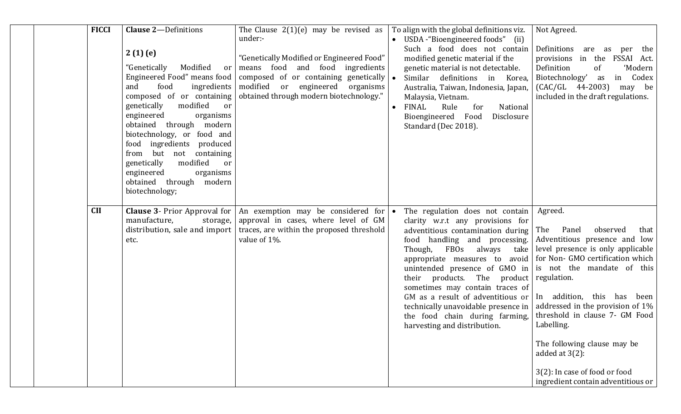| <b>FICCI</b> | <b>Clause 2-Definitions</b><br>2(1)(e)<br>Modified<br>"Genetically<br>or<br>Engineered Food" means food<br>food<br>ingredients<br>and<br>composed of or containing<br>genetically<br>modified<br>or<br>engineered<br>organisms<br>obtained through modern<br>biotechnology, or food and<br>food ingredients produced<br>from but not containing<br>genetically<br>modified<br>or<br>engineered<br>organisms<br>obtained through modern<br>biotechnology; | The Clause $2(1)(e)$ may be revised as<br>under:-<br>"Genetically Modified or Engineered Food"<br>means food and food ingredients<br>composed of or containing genetically<br>modified or engineered organisms<br>obtained through modern biotechnology." | $\bullet$ | To align with the global definitions viz.<br>• USDA - "Bioengineered foods" (ii)<br>Such a food does not contain<br>modified genetic material if the<br>genetic material is not detectable.<br>Similar definitions in Korea,<br>Australia, Taiwan, Indonesia, Japan,<br>Malaysia, Vietnam.<br><b>FINAL</b><br>National<br>Rule<br>for<br>Bioengineered Food<br>Disclosure<br>Standard (Dec 2018).                                                                                                                                                                      | Not Agreed.<br>Definitions are as per the<br>provisions in the FSSAI Act.<br>Definition<br>'Modern<br>of<br>Biotechnology' as<br>in Codex<br>$(CAC/GL \t 44-2003)$<br>may be<br>included in the draft regulations.                                                                                                               |
|--------------|----------------------------------------------------------------------------------------------------------------------------------------------------------------------------------------------------------------------------------------------------------------------------------------------------------------------------------------------------------------------------------------------------------------------------------------------------------|-----------------------------------------------------------------------------------------------------------------------------------------------------------------------------------------------------------------------------------------------------------|-----------|------------------------------------------------------------------------------------------------------------------------------------------------------------------------------------------------------------------------------------------------------------------------------------------------------------------------------------------------------------------------------------------------------------------------------------------------------------------------------------------------------------------------------------------------------------------------|----------------------------------------------------------------------------------------------------------------------------------------------------------------------------------------------------------------------------------------------------------------------------------------------------------------------------------|
| <b>CII</b>   | <b>Clause 3- Prior Approval for</b><br>manufacture,<br>storage,<br>distribution, sale and import<br>etc.                                                                                                                                                                                                                                                                                                                                                 | An exemption may be considered for<br>approval in cases, where level of GM<br>traces, are within the proposed threshold<br>value of 1%.                                                                                                                   | $\bullet$ | The regulation does not contain<br>clarity w.r.t any provisions for<br>adventitious contamination during  <br>food handling and processing. Adventitious presence and low<br>Though, FBOs always<br>take<br>appropriate measures to avoid   for Non- GMO certification which<br>unintended presence of $GMO$ in is not the mandate of this<br>their products. The product regulation.<br>sometimes may contain traces of<br>GM as a result of adventitious or<br>technically unavoidable presence in<br>the food chain during farming,<br>harvesting and distribution. | Agreed.<br>observed<br>Panel<br>that<br>The<br>level presence is only applicable<br>In addition, this has been<br>addressed in the provision of $1\%$<br>threshold in clause 7- GM Food<br>Labelling.<br>The following clause may be<br>added at $3(2)$ :<br>3(2): In case of food or food<br>ingredient contain adventitious or |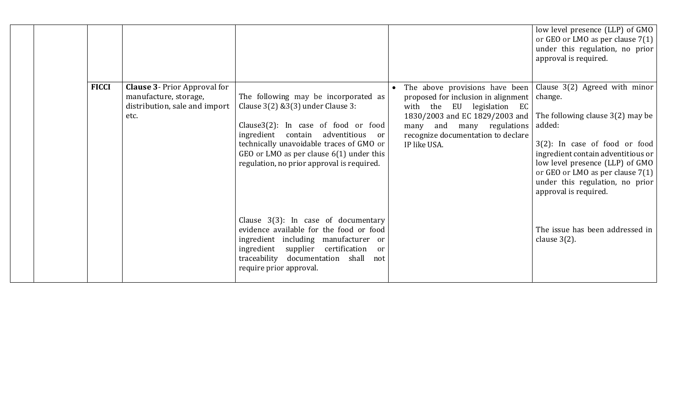|              |                                                                                                       |                                                                                                                                                                                                                                                                                                        |                                                                                                                                                                                                                                                          | low level presence (LLP) of $GMO$<br>or GEO or LMO as per clause $7(1)$<br>under this regulation, no prior<br>approval is required.                                                                                                                                    |
|--------------|-------------------------------------------------------------------------------------------------------|--------------------------------------------------------------------------------------------------------------------------------------------------------------------------------------------------------------------------------------------------------------------------------------------------------|----------------------------------------------------------------------------------------------------------------------------------------------------------------------------------------------------------------------------------------------------------|------------------------------------------------------------------------------------------------------------------------------------------------------------------------------------------------------------------------------------------------------------------------|
| <b>FICCI</b> | <b>Clause 3- Prior Approval for</b><br>manufacture, storage,<br>distribution, sale and import<br>etc. | The following may be incorporated as<br>Clause $3(2)$ & $3(3)$ under Clause 3:<br>Clause3(2): In case of food or food<br>ingredient contain adventitious<br>or<br>technically unavoidable traces of GMO or<br>GEO or LMO as per clause $6(1)$ under this<br>regulation, no prior approval is required. | The above provisions have been Clause $3(2)$ Agreed with minor<br>proposed for inclusion in alignment<br>with the EU legislation EC<br>1830/2003 and EC 1829/2003 and<br>many and many regulations<br>recognize documentation to declare<br>IP like USA. | change.<br>The following clause $3(2)$ may be<br>added:<br>$3(2)$ : In case of food or food<br>ingredient contain adventitious or<br>low level presence (LLP) of GMO<br>or GEO or LMO as per clause $7(1)$<br>under this regulation, no prior<br>approval is required. |
|              |                                                                                                       | Clause 3(3): In case of documentary<br>evidence available for the food or food<br>ingredient including manufacturer or<br>ingredient supplier<br>certification<br><sub>or</sub><br>traceability documentation shall<br>not<br>require prior approval.                                                  |                                                                                                                                                                                                                                                          | The issue has been addressed in<br>clause $3(2)$ .                                                                                                                                                                                                                     |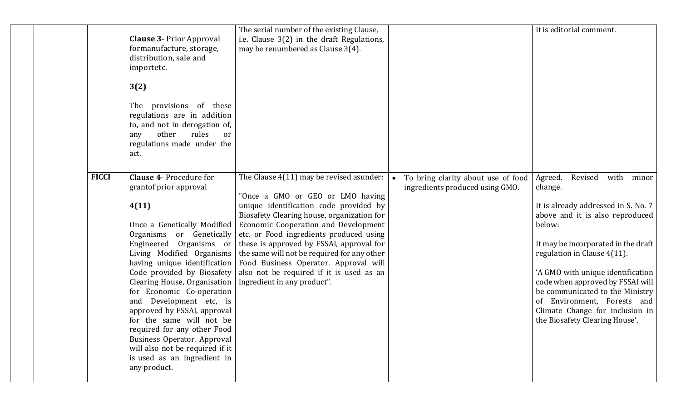|              | <b>Clause 3- Prior Approval</b><br>formanufacture, storage,<br>distribution, sale and<br>importetc.<br>3(2)<br>provisions of these<br>The<br>regulations are in addition<br>to, and not in derogation of,<br>other<br>rules<br>any<br>or<br>regulations made under the<br>act.                                                                                                                                                                                                                                                                           | The serial number of the existing Clause,<br>i.e. Clause 3(2) in the draft Regulations,<br>may be renumbered as Clause 3(4).                                                                                                                                                                                                                                                                                                                                           |                                                                       | It is editorial comment.                                                                                                                                                                                                                                                                                                                                                                                                    |
|--------------|----------------------------------------------------------------------------------------------------------------------------------------------------------------------------------------------------------------------------------------------------------------------------------------------------------------------------------------------------------------------------------------------------------------------------------------------------------------------------------------------------------------------------------------------------------|------------------------------------------------------------------------------------------------------------------------------------------------------------------------------------------------------------------------------------------------------------------------------------------------------------------------------------------------------------------------------------------------------------------------------------------------------------------------|-----------------------------------------------------------------------|-----------------------------------------------------------------------------------------------------------------------------------------------------------------------------------------------------------------------------------------------------------------------------------------------------------------------------------------------------------------------------------------------------------------------------|
| <b>FICCI</b> | <b>Clause 4- Procedure for</b><br>grantof prior approval<br>4(11)<br>Once a Genetically Modified<br>Organisms or Genetically<br>Engineered Organisms or<br>Living Modified Organisms<br>having unique identification<br>Code provided by Biosafety<br>Clearing House, Organisation<br>for Economic Co-operation<br>Development etc, is<br>and<br>approved by FSSAI, approval<br>for the same will not be<br>required for any other Food<br>Business Operator. Approval<br>will also not be required if it<br>is used as an ingredient in<br>any product. | The Clause 4(11) may be revised asunder:<br>"Once a GMO or GEO or LMO having<br>unique identification code provided by<br>Biosafety Clearing house, organization for<br>Economic Cooperation and Development<br>etc. or Food ingredients produced using<br>these is approved by FSSAI, approval for<br>the same will not be required for any other<br>Food Business Operator. Approval will<br>also not be required if it is used as an<br>ingredient in any product". | To bring clarity about use of food<br>ingredients produced using GMO. | with<br>Agreed.<br>Revised<br>minor<br>change.<br>It is already addressed in S. No. 7<br>above and it is also reproduced<br>below:<br>It may be incorporated in the draft<br>regulation in Clause 4(11).<br>'A GMO with unique identification<br>code when approved by FSSAI will<br>be communicated to the Ministry<br>Environment, Forests and<br>0f<br>Climate Change for inclusion in<br>the Biosafety Clearing House'. |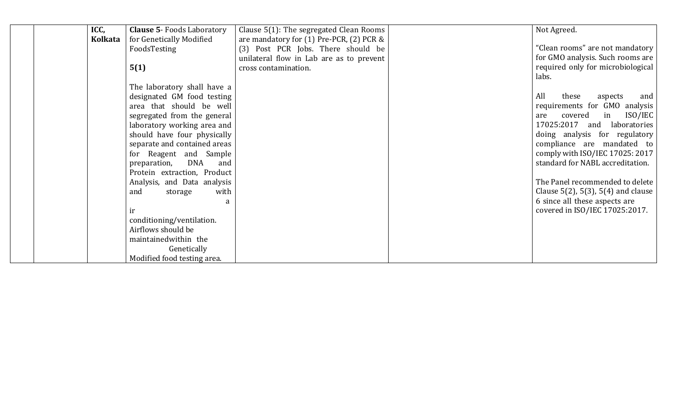| ICC,    | <b>Clause 5- Foods Laboratory</b> | Clause 5(1): The segregated Clean Rooms  | Not Agreed.                                |
|---------|-----------------------------------|------------------------------------------|--------------------------------------------|
| Kolkata | for Genetically Modified          | are mandatory for (1) Pre-PCR, (2) PCR & |                                            |
|         | FoodsTesting                      | (3) Post PCR Jobs. There should be       | "Clean rooms" are not mandatory            |
|         |                                   | unilateral flow in Lab are as to prevent | for GMO analysis. Such rooms are           |
|         | 5(1)                              | cross contamination.                     | required only for microbiological          |
|         |                                   |                                          | labs.                                      |
|         | The laboratory shall have a       |                                          |                                            |
|         | designated GM food testing        |                                          | All<br>these<br>aspects<br>and             |
|         | area that should be well          |                                          | requirements for GMO analysis              |
|         | segregated from the general       |                                          | ISO/IEC<br>covered<br>in<br>are            |
|         | laboratory working area and       |                                          | 17025:2017<br>laboratories<br>and          |
|         | should have four physically       |                                          | doing analysis for regulatory              |
|         | separate and contained areas      |                                          | compliance are mandated to                 |
|         | for Reagent and Sample            |                                          | comply with ISO/IEC 17025: 2017            |
|         | <b>DNA</b><br>preparation,<br>and |                                          | standard for NABL accreditation.           |
|         | Protein extraction, Product       |                                          |                                            |
|         | Analysis, and Data analysis       |                                          | The Panel recommended to delete            |
|         | with<br>and<br>storage            |                                          | Clause $5(2)$ , $5(3)$ , $5(4)$ and clause |
|         | a                                 |                                          | 6 since all these aspects are              |
|         | ir                                |                                          | covered in ISO/IEC 17025:2017.             |
|         | conditioning/ventilation.         |                                          |                                            |
|         | Airflows should be                |                                          |                                            |
|         | maintained within the             |                                          |                                            |
|         | Genetically                       |                                          |                                            |
|         | Modified food testing area.       |                                          |                                            |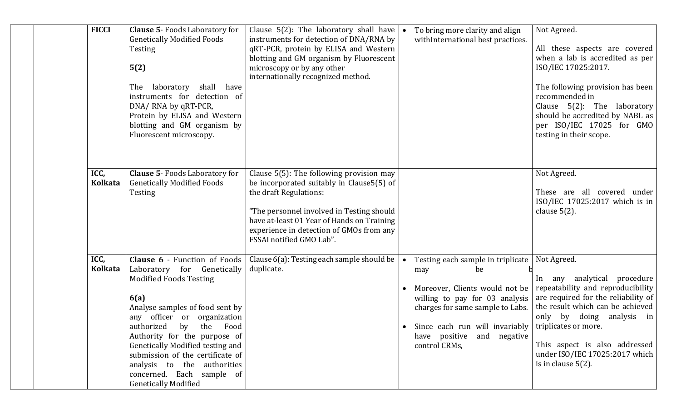| <b>FICCI</b> | <b>Clause 5- Foods Laboratory for</b><br><b>Genetically Modified Foods</b><br>Testing<br>5(2)<br>The laboratory shall have<br>instruments for detection of<br>DNA/ RNA by qRT-PCR,<br>Protein by ELISA and Western<br>blotting and GM organism by<br>Fluorescent microscopy.                                                                                                              | Clause 5(2): The laboratory shall have $\bullet$<br>instruments for detection of DNA/RNA by<br>qRT-PCR, protein by ELISA and Western<br>blotting and GM organism by Fluorescent<br>microscopy or by any other<br>internationally recognized method.                                        | To bring more clarity and align<br>withInternational best practices.                                                                                                                                                                               | Not Agreed.<br>All these aspects are covered<br>when a lab is accredited as per<br>ISO/IEC 17025:2017.<br>The following provision has been<br>recommended in<br>Clause 5(2): The laboratory<br>should be accredited by NABL as<br>per ISO/IEC 17025 for GMO<br>testing in their scope.                |
|--------------|-------------------------------------------------------------------------------------------------------------------------------------------------------------------------------------------------------------------------------------------------------------------------------------------------------------------------------------------------------------------------------------------|--------------------------------------------------------------------------------------------------------------------------------------------------------------------------------------------------------------------------------------------------------------------------------------------|----------------------------------------------------------------------------------------------------------------------------------------------------------------------------------------------------------------------------------------------------|-------------------------------------------------------------------------------------------------------------------------------------------------------------------------------------------------------------------------------------------------------------------------------------------------------|
| ICC,         | <b>Clause 5- Foods Laboratory for</b><br>Kolkata   Genetically Modified Foods<br>Testing                                                                                                                                                                                                                                                                                                  | Clause 5(5): The following provision may<br>be incorporated suitably in Clause 5(5) of<br>the draft Regulations:<br>"The personnel involved in Testing should $\mid$<br>have at-least 01 Year of Hands on Training<br>experience in detection of GMOs from any<br>FSSAI notified GMO Lab". |                                                                                                                                                                                                                                                    | Not Agreed.<br>These are all covered under<br>ISO/IEC 17025:2017 which is in<br>clause $5(2)$ .                                                                                                                                                                                                       |
| ICC,         | Kolkata   Laboratory for Genetically   duplicate.<br><b>Modified Foods Testing</b><br>6(a)<br>Analyse samples of food sent by<br>any officer or organization<br>authorized by the Food<br>Authority for the purpose of<br>Genetically Modified testing and<br>submission of the certificate of<br>analysis to the authorities<br>concerned. Each sample of<br><b>Genetically Modified</b> | <b>Clause 6</b> - Function of Foods   Clause $6(a)$ : Testing each sample should be                                                                                                                                                                                                        | Testing each sample in triplicate   Not Agreed.<br>be<br>may<br>• Moreover, Clients would not be $ $ repeatability and reproducibility<br>• Since each run will invariably $ $ triplicates or more.<br>have positive and negative<br>control CRMs, | In any analytical procedure<br>willing to pay for 03 analysis $ $ are required for the reliability of<br>charges for same sample to Labs.   the result which can be achieved<br>only by doing analysis in<br>This aspect is also addressed<br>under ISO/IEC 17025:2017 which<br>is in clause $5(2)$ . |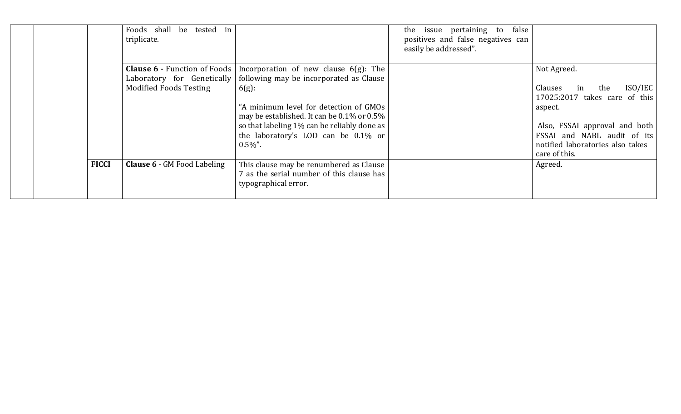|              | Foods shall be tested in<br>triplicate.                     |                                                                                                                                                                                                                                                                                                                                   | false<br>the issue pertaining to<br>positives and false negatives can<br>easily be addressed". |                                                                                                                                                                                                                 |
|--------------|-------------------------------------------------------------|-----------------------------------------------------------------------------------------------------------------------------------------------------------------------------------------------------------------------------------------------------------------------------------------------------------------------------------|------------------------------------------------------------------------------------------------|-----------------------------------------------------------------------------------------------------------------------------------------------------------------------------------------------------------------|
|              | Laboratory for Genetically<br><b>Modified Foods Testing</b> | <b>Clause 6</b> - Function of Foods   Incorporation of new clause $6(g)$ : The<br>following may be incorporated as Clause<br>$6(g)$ :<br>"A minimum level for detection of GMOs<br>may be established. It can be 0.1% or 0.5%<br>so that labeling 1% can be reliably done as<br>the laboratory's LOD can be 0.1% or<br>$0.5\%$ ". |                                                                                                | Not Agreed.<br>ISO/IEC<br>in<br>the<br>Clauses<br>17025:2017 takes care of this<br>aspect.<br>Also, FSSAI approval and both<br>FSSAI and NABL audit of its<br>notified laboratories also takes<br>care of this. |
| <b>FICCI</b> | <b>Clause 6 - GM Food Labeling</b>                          | This clause may be renumbered as Clause<br>7 as the serial number of this clause has<br>typographical error.                                                                                                                                                                                                                      |                                                                                                | Agreed.                                                                                                                                                                                                         |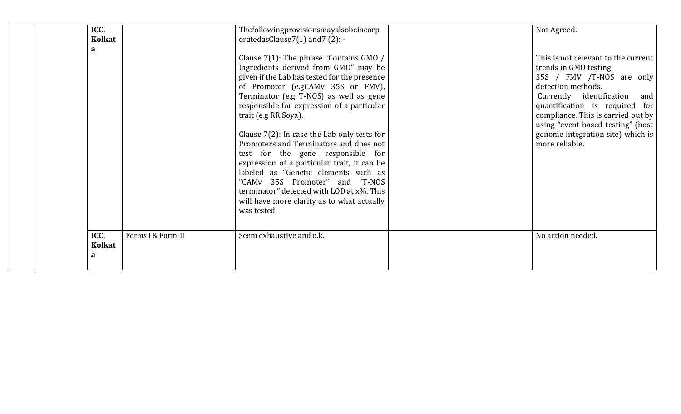| ICC,      | <b>Kolkat</b> |                   | Thefollowingprovisionsmayalsobeincorp<br>oratedasClause7(1) and 7(2): -                                                                                                                                                                                                                                                                                                                                                                                                                                                                                                                                                                                  | Not Agreed.                                                                                                                                                                                                                                                                                                             |
|-----------|---------------|-------------------|----------------------------------------------------------------------------------------------------------------------------------------------------------------------------------------------------------------------------------------------------------------------------------------------------------------------------------------------------------------------------------------------------------------------------------------------------------------------------------------------------------------------------------------------------------------------------------------------------------------------------------------------------------|-------------------------------------------------------------------------------------------------------------------------------------------------------------------------------------------------------------------------------------------------------------------------------------------------------------------------|
| a         |               |                   | Clause 7(1): The phrase "Contains GMO /<br>Ingredients derived from GMO" may be<br>given if the Lab has tested for the presence<br>of Promoter (e.gCAMv 35S or FMV),<br>Terminator (e.g T-NOS) as well as gene<br>responsible for expression of a particular<br>trait (e.g RR Soya).<br>Clause $7(2)$ : In case the Lab only tests for<br>Promoters and Terminators and does not<br>test for the gene responsible for<br>expression of a particular trait, it can be<br>labeled as "Genetic elements such as<br>"CAMv 35S Promoter" and "T-NOS<br>terminator" detected with LOD at x%. This<br>will have more clarity as to what actually<br>was tested. | This is not relevant to the current<br>trends in GMO testing.<br>35S / FMV /T-NOS are only<br>detection methods.<br>Currently identification<br>and<br>quantification is required for<br>compliance. This is carried out by<br>using "event based testing" (host<br>genome integration site) which is<br>more reliable. |
| ICC,<br>a | Kolkat        | Forms I & Form-II | Seem exhaustive and o.k.                                                                                                                                                                                                                                                                                                                                                                                                                                                                                                                                                                                                                                 | No action needed.                                                                                                                                                                                                                                                                                                       |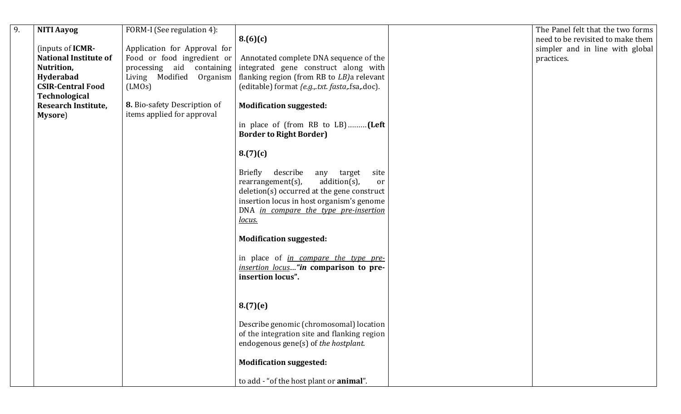| $\overline{9}$ . | <b>NITI Aayog</b>            | FORM-I (See regulation 4):   |                                                                          | The Panel felt that the two forms |
|------------------|------------------------------|------------------------------|--------------------------------------------------------------------------|-----------------------------------|
|                  |                              |                              | 8.(6)(c)                                                                 | need to be revisited to make them |
|                  | (inputs of <b>ICMR-</b>      | Application for Approval for |                                                                          | simpler and in line with global   |
|                  | <b>National Institute of</b> | Food or food ingredient or   | Annotated complete DNA sequence of the                                   | practices.                        |
|                  | Nutrition,                   | processing aid containing    | integrated gene construct along with                                     |                                   |
|                  | Hyderabad                    |                              | Living Modified Organism   flanking region (from RB to $LB$ ) a relevant |                                   |
|                  | <b>CSIR-Central Food</b>     | (LMOS)                       | (editable) format {e.g., txt. fasta, fsa, doc).                          |                                   |
|                  | Technological                |                              |                                                                          |                                   |
|                  | <b>Research Institute,</b>   | 8. Bio-safety Description of | <b>Modification suggested:</b>                                           |                                   |
|                  | Mysore)                      | items applied for approval   |                                                                          |                                   |
|                  |                              |                              |                                                                          |                                   |
|                  |                              |                              | in place of (from RB to LB)(Left<br><b>Border to Right Border)</b>       |                                   |
|                  |                              |                              |                                                                          |                                   |
|                  |                              |                              | 8.(7)(c)                                                                 |                                   |
|                  |                              |                              |                                                                          |                                   |
|                  |                              |                              | Briefly<br>describe<br>any<br>target<br>site                             |                                   |
|                  |                              |                              | rearrangement(s),<br>$addition(s)$ ,<br>or                               |                                   |
|                  |                              |                              | deletion(s) occurred at the gene construct                               |                                   |
|                  |                              |                              | insertion locus in host organism's genome                                |                                   |
|                  |                              |                              | DNA in compare the type pre-insertion                                    |                                   |
|                  |                              |                              |                                                                          |                                   |
|                  |                              |                              | <u>locus.</u>                                                            |                                   |
|                  |                              |                              | <b>Modification suggested:</b>                                           |                                   |
|                  |                              |                              |                                                                          |                                   |
|                  |                              |                              | in place of <i>in compare the type pre-</i>                              |                                   |
|                  |                              |                              | insertion locus"in comparison to pre-                                    |                                   |
|                  |                              |                              | insertion locus".                                                        |                                   |
|                  |                              |                              |                                                                          |                                   |
|                  |                              |                              |                                                                          |                                   |
|                  |                              |                              | 8.(7)(e)                                                                 |                                   |
|                  |                              |                              |                                                                          |                                   |
|                  |                              |                              | Describe genomic (chromosomal) location                                  |                                   |
|                  |                              |                              | of the integration site and flanking region                              |                                   |
|                  |                              |                              | endogenous gene(s) of the hostplant.                                     |                                   |
|                  |                              |                              |                                                                          |                                   |
|                  |                              |                              | <b>Modification suggested:</b>                                           |                                   |
|                  |                              |                              |                                                                          |                                   |
|                  |                              |                              | to add - "of the host plant or animal".                                  |                                   |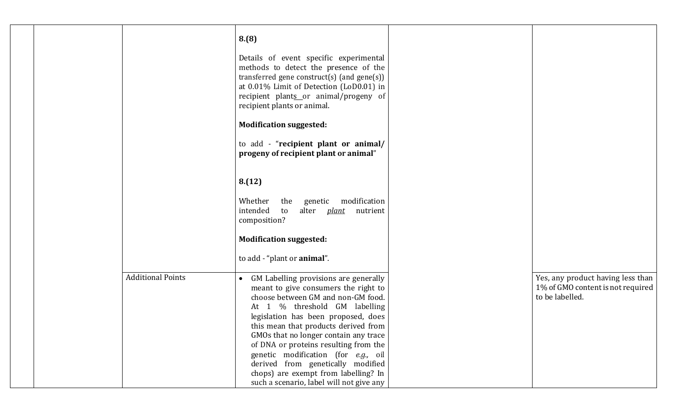|                          | 8.(8)<br>Details of event specific experimental<br>methods to detect the presence of the<br>transferred gene construct(s) (and gene(s))<br>at 0.01% Limit of Detection (LoD0.01) in<br>recipient plants or animal/progeny of<br>recipient plants or animal.                                                                                                                                                    |                                                                                           |
|--------------------------|----------------------------------------------------------------------------------------------------------------------------------------------------------------------------------------------------------------------------------------------------------------------------------------------------------------------------------------------------------------------------------------------------------------|-------------------------------------------------------------------------------------------|
|                          | <b>Modification suggested:</b><br>to add - "recipient plant or animal/<br>progeny of recipient plant or animal"                                                                                                                                                                                                                                                                                                |                                                                                           |
|                          | 8.(12)<br>Whether<br>genetic modification<br>the                                                                                                                                                                                                                                                                                                                                                               |                                                                                           |
|                          | intended<br>alter <i>plant</i> nutrient<br>to<br>composition?                                                                                                                                                                                                                                                                                                                                                  |                                                                                           |
|                          | <b>Modification suggested:</b><br>to add - "plant or animal".                                                                                                                                                                                                                                                                                                                                                  |                                                                                           |
| <b>Additional Points</b> | GM Labelling provisions are generally<br>$\bullet$<br>meant to give consumers the right to<br>choose between GM and non-GM food.<br>At 1 % threshold GM labelling<br>legislation has been proposed, does<br>this mean that products derived from<br>GMOs that no longer contain any trace<br>of DNA or proteins resulting from the<br>genetic modification (for e.g., oil<br>derived from genetically modified | Yes, any product having less than<br>1% of GMO content is not required<br>to be labelled. |
|                          | chops) are exempt from labelling? In<br>such a scenario, label will not give any                                                                                                                                                                                                                                                                                                                               |                                                                                           |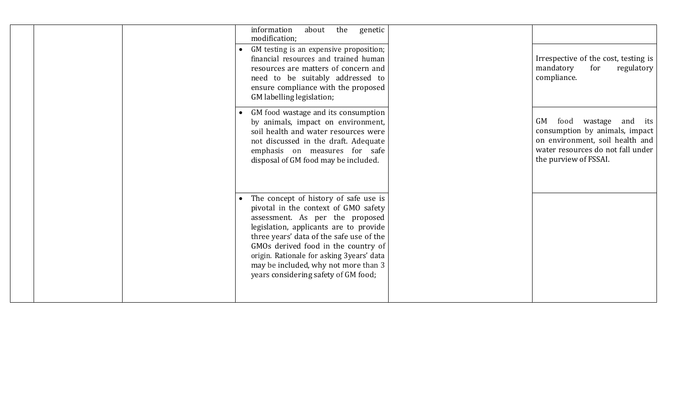|  | information<br>about<br>the<br>genetic<br>modification;<br>GM testing is an expensive proposition;<br>financial resources and trained human<br>resources are matters of concern and<br>need to be suitably addressed to<br>ensure compliance with the proposed<br>GM labelling legislation;                                                                                | Irrespective of the cost, testing is<br>mandatory<br>for<br>regulatory<br>compliance.                                                                               |
|--|----------------------------------------------------------------------------------------------------------------------------------------------------------------------------------------------------------------------------------------------------------------------------------------------------------------------------------------------------------------------------|---------------------------------------------------------------------------------------------------------------------------------------------------------------------|
|  | GM food wastage and its consumption<br>by animals, impact on environment,<br>soil health and water resources were<br>not discussed in the draft. Adequate<br>emphasis on measures for safe<br>disposal of GM food may be included.                                                                                                                                         | GM<br>food<br>wastage<br>and its<br>consumption by animals, impact<br>on environment, soil health and<br>water resources do not fall under<br>the purview of FSSAI. |
|  | The concept of history of safe use is<br>pivotal in the context of GMO safety<br>assessment. As per the proposed<br>legislation, applicants are to provide<br>three years' data of the safe use of the<br>GMOs derived food in the country of<br>origin. Rationale for asking 3years' data<br>may be included, why not more than 3<br>years considering safety of GM food; |                                                                                                                                                                     |